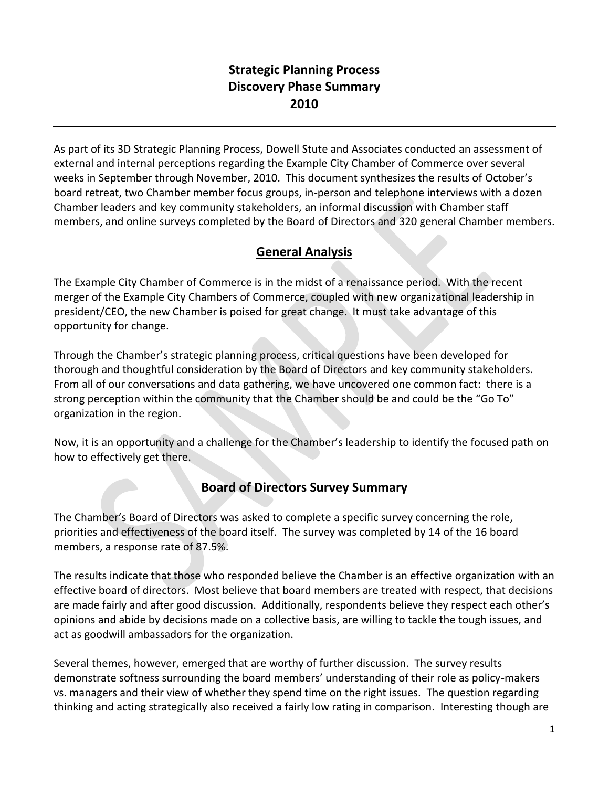## **Strategic Planning Process Discovery Phase Summary 2010**

As part of its 3D Strategic Planning Process, Dowell Stute and Associates conducted an assessment of external and internal perceptions regarding the Example City Chamber of Commerce over several weeks in September through November, 2010. This document synthesizes the results of October's board retreat, two Chamber member focus groups, in-person and telephone interviews with a dozen Chamber leaders and key community stakeholders, an informal discussion with Chamber staff members, and online surveys completed by the Board of Directors and 320 general Chamber members.

## **General Analysis**

The Example City Chamber of Commerce is in the midst of a renaissance period. With the recent merger of the Example City Chambers of Commerce, coupled with new organizational leadership in president/CEO, the new Chamber is poised for great change. It must take advantage of this opportunity for change.

Through the Chamber's strategic planning process, critical questions have been developed for thorough and thoughtful consideration by the Board of Directors and key community stakeholders. From all of our conversations and data gathering, we have uncovered one common fact: there is a strong perception within the community that the Chamber should be and could be the "Go To" organization in the region.

Now, it is an opportunity and a challenge for the Chamber's leadership to identify the focused path on how to effectively get there.

# **Board of Directors Survey Summary**

The Chamber's Board of Directors was asked to complete a specific survey concerning the role, priorities and effectiveness of the board itself. The survey was completed by 14 of the 16 board members, a response rate of 87.5%.

The results indicate that those who responded believe the Chamber is an effective organization with an effective board of directors. Most believe that board members are treated with respect, that decisions are made fairly and after good discussion. Additionally, respondents believe they respect each other's opinions and abide by decisions made on a collective basis, are willing to tackle the tough issues, and act as goodwill ambassadors for the organization.

Several themes, however, emerged that are worthy of further discussion. The survey results demonstrate softness surrounding the board members' understanding of their role as policy-makers vs. managers and their view of whether they spend time on the right issues. The question regarding thinking and acting strategically also received a fairly low rating in comparison. Interesting though are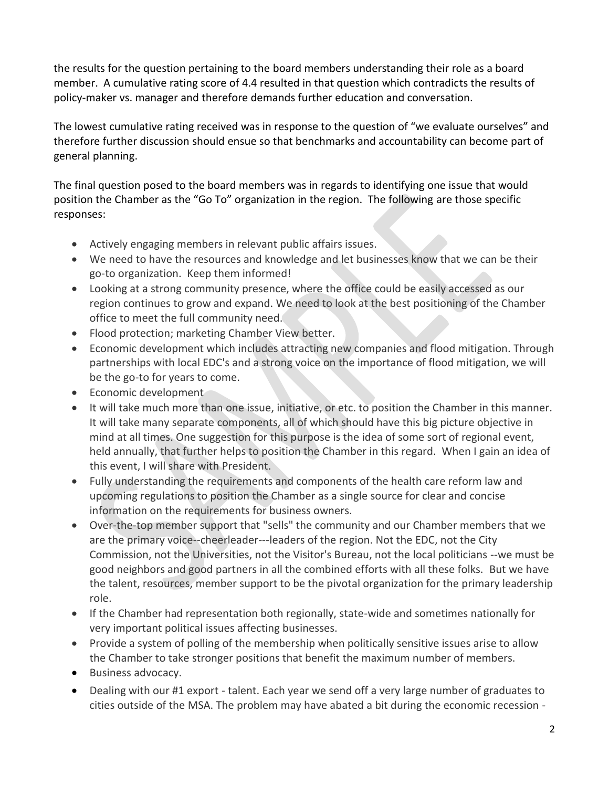the results for the question pertaining to the board members understanding their role as a board member. A cumulative rating score of 4.4 resulted in that question which contradicts the results of policy-maker vs. manager and therefore demands further education and conversation.

The lowest cumulative rating received was in response to the question of "we evaluate ourselves" and therefore further discussion should ensue so that benchmarks and accountability can become part of general planning.

The final question posed to the board members was in regards to identifying one issue that would position the Chamber as the "Go To" organization in the region. The following are those specific responses:

- Actively engaging members in relevant public affairs issues.
- We need to have the resources and knowledge and let businesses know that we can be their go-to organization. Keep them informed!
- Looking at a strong community presence, where the office could be easily accessed as our region continues to grow and expand. We need to look at the best positioning of the Chamber office to meet the full community need.
- Flood protection; marketing Chamber View better.
- Economic development which includes attracting new companies and flood mitigation. Through partnerships with local EDC's and a strong voice on the importance of flood mitigation, we will be the go-to for years to come.
- **•** Economic development
- It will take much more than one issue, initiative, or etc. to position the Chamber in this manner. It will take many separate components, all of which should have this big picture objective in mind at all times. One suggestion for this purpose is the idea of some sort of regional event, held annually, that further helps to position the Chamber in this regard. When I gain an idea of this event, I will share with President.
- Fully understanding the requirements and components of the health care reform law and upcoming regulations to position the Chamber as a single source for clear and concise information on the requirements for business owners.
- Over-the-top member support that "sells" the community and our Chamber members that we are the primary voice--cheerleader---leaders of the region. Not the EDC, not the City Commission, not the Universities, not the Visitor's Bureau, not the local politicians --we must be good neighbors and good partners in all the combined efforts with all these folks. But we have the talent, resources, member support to be the pivotal organization for the primary leadership role.
- If the Chamber had representation both regionally, state-wide and sometimes nationally for very important political issues affecting businesses.
- Provide a system of polling of the membership when politically sensitive issues arise to allow the Chamber to take stronger positions that benefit the maximum number of members.
- Business advocacy.
- Dealing with our #1 export talent. Each year we send off a very large number of graduates to cities outside of the MSA. The problem may have abated a bit during the economic recession -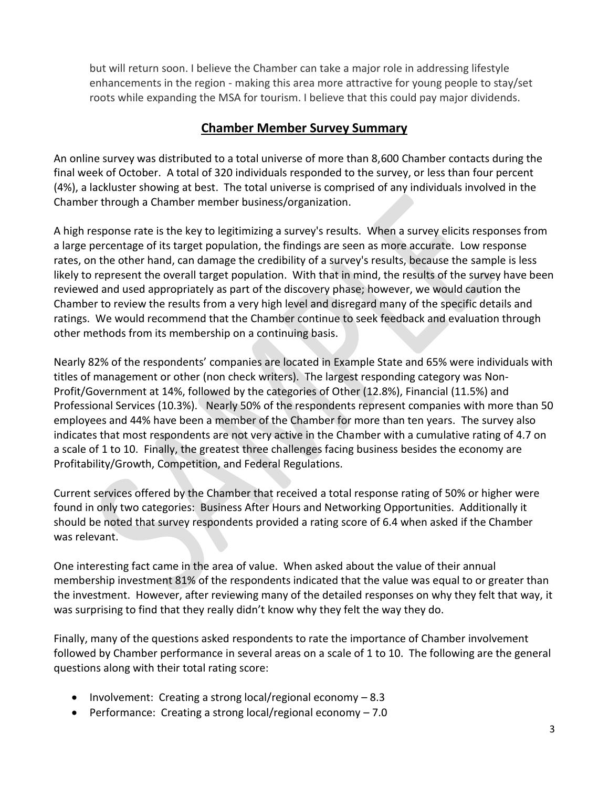but will return soon. I believe the Chamber can take a major role in addressing lifestyle enhancements in the region - making this area more attractive for young people to stay/set roots while expanding the MSA for tourism. I believe that this could pay major dividends.

### **Chamber Member Survey Summary**

An online survey was distributed to a total universe of more than 8,600 Chamber contacts during the final week of October. A total of 320 individuals responded to the survey, or less than four percent (4%), a lackluster showing at best. The total universe is comprised of any individuals involved in the Chamber through a Chamber member business/organization.

A high response rate is the key to legitimizing a survey's results. When a survey elicits responses from a large percentage of its [target population,](http://knowledge-base.supersurvey.com/glossary.htm#target_population) the findings are seen as more accurate. Low response rates, on the other hand, can damage the credibility of a survey's results, because the [sample](http://knowledge-base.supersurvey.com/glossary.htm#sample) is less likely to represent the overall [target population.](http://knowledge-base.supersurvey.com/glossary.htm#target_population) With that in mind, the results of the survey have been reviewed and used appropriately as part of the discovery phase; however, we would caution the Chamber to review the results from a very high level and disregard many of the specific details and ratings. We would recommend that the Chamber continue to seek feedback and evaluation through other methods from its membership on a continuing basis.

Nearly 82% of the respondents' companies are located in Example State and 65% were individuals with titles of management or other (non check writers). The largest responding category was Non-Profit/Government at 14%, followed by the categories of Other (12.8%), Financial (11.5%) and Professional Services (10.3%). Nearly 50% of the respondents represent companies with more than 50 employees and 44% have been a member of the Chamber for more than ten years. The survey also indicates that most respondents are not very active in the Chamber with a cumulative rating of 4.7 on a scale of 1 to 10. Finally, the greatest three challenges facing business besides the economy are Profitability/Growth, Competition, and Federal Regulations.

Current services offered by the Chamber that received a total response rating of 50% or higher were found in only two categories: Business After Hours and Networking Opportunities. Additionally it should be noted that survey respondents provided a rating score of 6.4 when asked if the Chamber was relevant.

One interesting fact came in the area of value. When asked about the value of their annual membership investment 81% of the respondents indicated that the value was equal to or greater than the investment. However, after reviewing many of the detailed responses on why they felt that way, it was surprising to find that they really didn't know why they felt the way they do.

Finally, many of the questions asked respondents to rate the importance of Chamber involvement followed by Chamber performance in several areas on a scale of 1 to 10. The following are the general questions along with their total rating score:

- Involvement: Creating a strong local/regional economy  $-8.3$
- Performance: Creating a strong local/regional economy  $-7.0$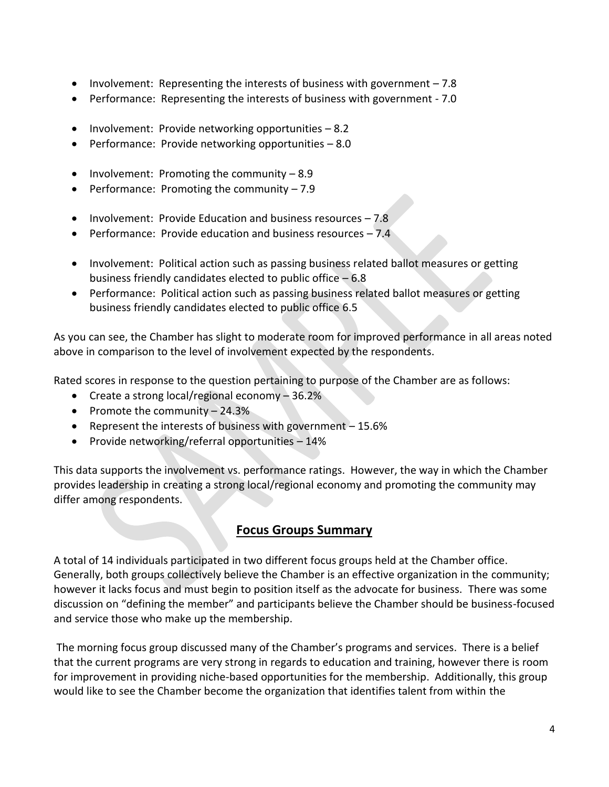- Involvement: Representing the interests of business with government 7.8
- Performance: Representing the interests of business with government 7.0
- Involvement: Provide networking opportunities 8.2
- Performance: Provide networking opportunities 8.0
- Involvement: Promoting the community  $-8.9$
- Performance: Promoting the community  $-7.9$
- Involvement: Provide Education and business resources  $-7.8$
- **•** Performance: Provide education and business resources  $-7.4$
- Involvement: Political action such as passing business related ballot measures or getting business friendly candidates elected to public office – 6.8
- Performance: Political action such as passing business related ballot measures or getting business friendly candidates elected to public office 6.5

As you can see, the Chamber has slight to moderate room for improved performance in all areas noted above in comparison to the level of involvement expected by the respondents.

Rated scores in response to the question pertaining to purpose of the Chamber are as follows:

- **•** Create a strong local/regional economy  $-36.2\%$
- Promote the community  $-24.3%$
- Represent the interests of business with government  $-15.6%$
- Provide networking/referral opportunities  $-14\%$

This data supports the involvement vs. performance ratings. However, the way in which the Chamber provides leadership in creating a strong local/regional economy and promoting the community may differ among respondents.

### **Focus Groups Summary**

A total of 14 individuals participated in two different focus groups held at the Chamber office. Generally, both groups collectively believe the Chamber is an effective organization in the community; however it lacks focus and must begin to position itself as the advocate for business. There was some discussion on "defining the member" and participants believe the Chamber should be business-focused and service those who make up the membership.

The morning focus group discussed many of the Chamber's programs and services. There is a belief that the current programs are very strong in regards to education and training, however there is room for improvement in providing niche-based opportunities for the membership. Additionally, this group would like to see the Chamber become the organization that identifies talent from within the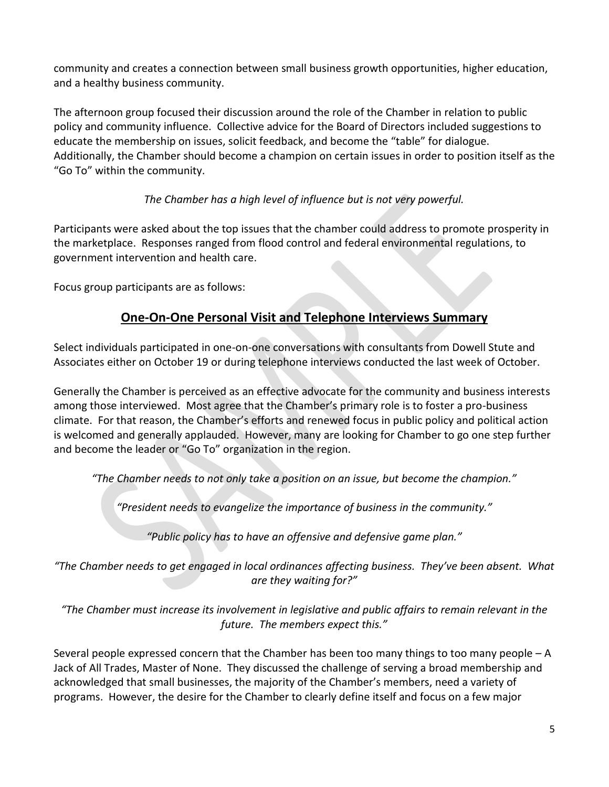community and creates a connection between small business growth opportunities, higher education, and a healthy business community.

The afternoon group focused their discussion around the role of the Chamber in relation to public policy and community influence. Collective advice for the Board of Directors included suggestions to educate the membership on issues, solicit feedback, and become the "table" for dialogue. Additionally, the Chamber should become a champion on certain issues in order to position itself as the "Go To" within the community.

### *The Chamber has a high level of influence but is not very powerful.*

Participants were asked about the top issues that the chamber could address to promote prosperity in the marketplace. Responses ranged from flood control and federal environmental regulations, to government intervention and health care.

Focus group participants are as follows:

## **One-On-One Personal Visit and Telephone Interviews Summary**

Select individuals participated in one-on-one conversations with consultants from Dowell Stute and Associates either on October 19 or during telephone interviews conducted the last week of October.

Generally the Chamber is perceived as an effective advocate for the community and business interests among those interviewed. Most agree that the Chamber's primary role is to foster a pro-business climate. For that reason, the Chamber's efforts and renewed focus in public policy and political action is welcomed and generally applauded. However, many are looking for Chamber to go one step further and become the leader or "Go To" organization in the region.

*"The Chamber needs to not only take a position on an issue, but become the champion."*

*"President needs to evangelize the importance of business in the community."*

*"Public policy has to have an offensive and defensive game plan."*

*"The Chamber needs to get engaged in local ordinances affecting business. They've been absent. What are they waiting for?"*

*"The Chamber must increase its involvement in legislative and public affairs to remain relevant in the future. The members expect this."*

Several people expressed concern that the Chamber has been too many things to too many people – A Jack of All Trades, Master of None. They discussed the challenge of serving a broad membership and acknowledged that small businesses, the majority of the Chamber's members, need a variety of programs. However, the desire for the Chamber to clearly define itself and focus on a few major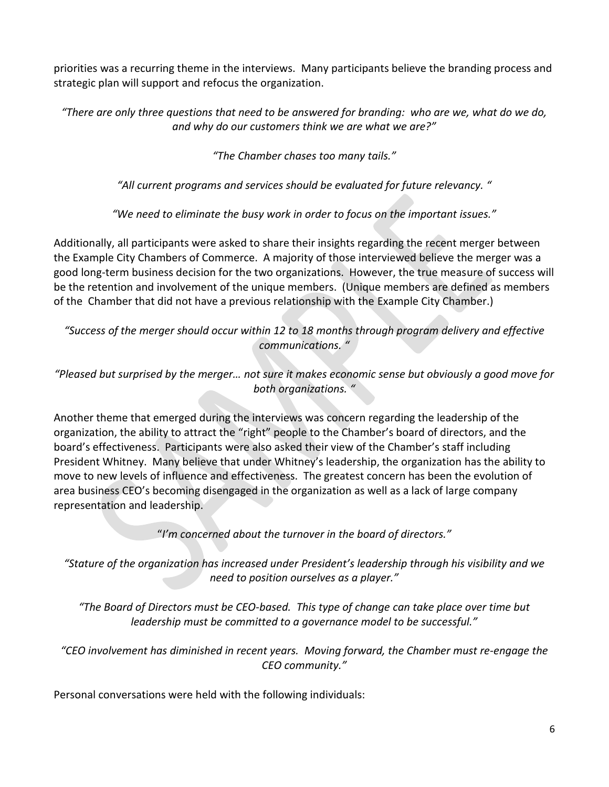priorities was a recurring theme in the interviews. Many participants believe the branding process and strategic plan will support and refocus the organization.

*"There are only three questions that need to be answered for branding: who are we, what do we do, and why do our customers think we are what we are?"*

*"The Chamber chases too many tails."*

*"All current programs and services should be evaluated for future relevancy. "*

*"We need to eliminate the busy work in order to focus on the important issues."*

Additionally, all participants were asked to share their insights regarding the recent merger between the Example City Chambers of Commerce. A majority of those interviewed believe the merger was a good long-term business decision for the two organizations. However, the true measure of success will be the retention and involvement of the unique members. (Unique members are defined as members of the Chamber that did not have a previous relationship with the Example City Chamber.)

*"Success of the merger should occur within 12 to 18 months through program delivery and effective communications. "*

*"Pleased but surprised by the merger… not sure it makes economic sense but obviously a good move for both organizations. "*

Another theme that emerged during the interviews was concern regarding the leadership of the organization, the ability to attract the "right" people to the Chamber's board of directors, and the board's effectiveness. Participants were also asked their view of the Chamber's staff including President Whitney. Many believe that under Whitney's leadership, the organization has the ability to move to new levels of influence and effectiveness. The greatest concern has been the evolution of area business CEO's becoming disengaged in the organization as well as a lack of large company representation and leadership.

"*I'm concerned about the turnover in the board of directors."*

*"Stature of the organization has increased under President's leadership through his visibility and we need to position ourselves as a player."*

*"The Board of Directors must be CEO-based. This type of change can take place over time but leadership must be committed to a governance model to be successful."*

*"CEO involvement has diminished in recent years. Moving forward, the Chamber must re-engage the CEO community."*

Personal conversations were held with the following individuals: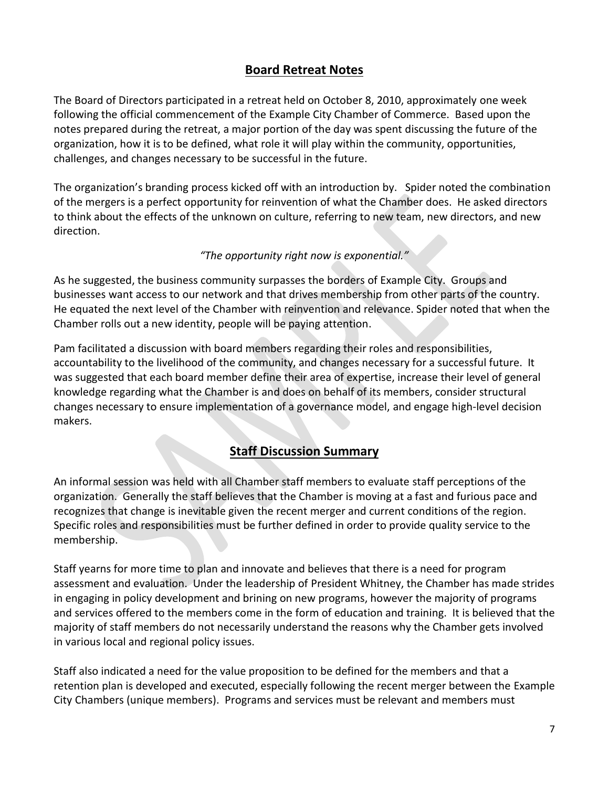## **Board Retreat Notes**

The Board of Directors participated in a retreat held on October 8, 2010, approximately one week following the official commencement of the Example City Chamber of Commerce. Based upon the notes prepared during the retreat, a major portion of the day was spent discussing the future of the organization, how it is to be defined, what role it will play within the community, opportunities, challenges, and changes necessary to be successful in the future.

The organization's branding process kicked off with an introduction by. Spider noted the combination of the mergers is a perfect opportunity for reinvention of what the Chamber does. He asked directors to think about the effects of the unknown on culture, referring to new team, new directors, and new direction.

### *"The opportunity right now is exponential."*

As he suggested, the business community surpasses the borders of Example City. Groups and businesses want access to our network and that drives membership from other parts of the country. He equated the next level of the Chamber with reinvention and relevance. Spider noted that when the Chamber rolls out a new identity, people will be paying attention.

Pam facilitated a discussion with board members regarding their roles and responsibilities, accountability to the livelihood of the community, and changes necessary for a successful future. It was suggested that each board member define their area of expertise, increase their level of general knowledge regarding what the Chamber is and does on behalf of its members, consider structural changes necessary to ensure implementation of a governance model, and engage high-level decision makers.

### **Staff Discussion Summary**

An informal session was held with all Chamber staff members to evaluate staff perceptions of the organization. Generally the staff believes that the Chamber is moving at a fast and furious pace and recognizes that change is inevitable given the recent merger and current conditions of the region. Specific roles and responsibilities must be further defined in order to provide quality service to the membership.

Staff yearns for more time to plan and innovate and believes that there is a need for program assessment and evaluation. Under the leadership of President Whitney, the Chamber has made strides in engaging in policy development and brining on new programs, however the majority of programs and services offered to the members come in the form of education and training. It is believed that the majority of staff members do not necessarily understand the reasons why the Chamber gets involved in various local and regional policy issues.

Staff also indicated a need for the value proposition to be defined for the members and that a retention plan is developed and executed, especially following the recent merger between the Example City Chambers (unique members). Programs and services must be relevant and members must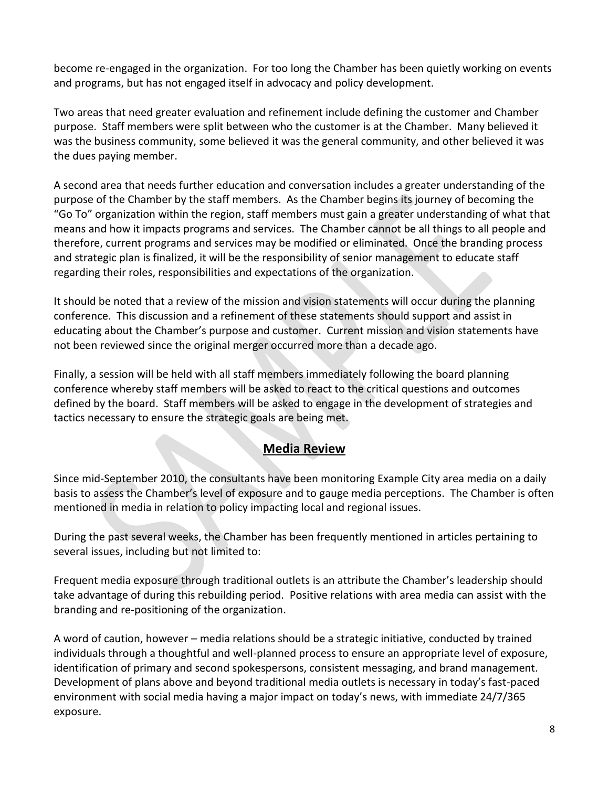become re-engaged in the organization. For too long the Chamber has been quietly working on events and programs, but has not engaged itself in advocacy and policy development.

Two areas that need greater evaluation and refinement include defining the customer and Chamber purpose. Staff members were split between who the customer is at the Chamber. Many believed it was the business community, some believed it was the general community, and other believed it was the dues paying member.

A second area that needs further education and conversation includes a greater understanding of the purpose of the Chamber by the staff members. As the Chamber begins its journey of becoming the "Go To" organization within the region, staff members must gain a greater understanding of what that means and how it impacts programs and services. The Chamber cannot be all things to all people and therefore, current programs and services may be modified or eliminated. Once the branding process and strategic plan is finalized, it will be the responsibility of senior management to educate staff regarding their roles, responsibilities and expectations of the organization.

It should be noted that a review of the mission and vision statements will occur during the planning conference. This discussion and a refinement of these statements should support and assist in educating about the Chamber's purpose and customer. Current mission and vision statements have not been reviewed since the original merger occurred more than a decade ago.

Finally, a session will be held with all staff members immediately following the board planning conference whereby staff members will be asked to react to the critical questions and outcomes defined by the board. Staff members will be asked to engage in the development of strategies and tactics necessary to ensure the strategic goals are being met.

### **Media Review**

Since mid-September 2010, the consultants have been monitoring Example City area media on a daily basis to assess the Chamber's level of exposure and to gauge media perceptions. The Chamber is often mentioned in media in relation to policy impacting local and regional issues.

During the past several weeks, the Chamber has been frequently mentioned in articles pertaining to several issues, including but not limited to:

Frequent media exposure through traditional outlets is an attribute the Chamber's leadership should take advantage of during this rebuilding period. Positive relations with area media can assist with the branding and re-positioning of the organization.

A word of caution, however – media relations should be a strategic initiative, conducted by trained individuals through a thoughtful and well-planned process to ensure an appropriate level of exposure, identification of primary and second spokespersons, consistent messaging, and brand management. Development of plans above and beyond traditional media outlets is necessary in today's fast-paced environment with social media having a major impact on today's news, with immediate 24/7/365 exposure.